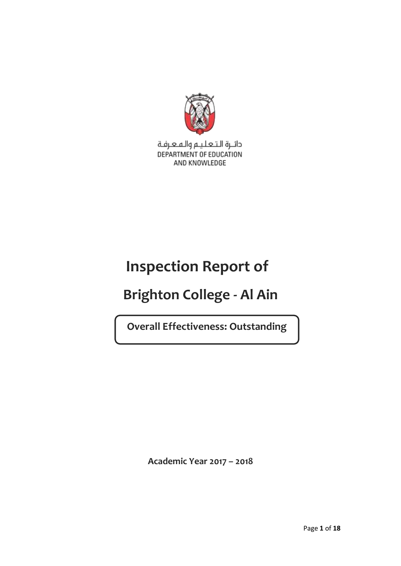

دائـرة الـتـعـلـيـم والـمـعـرفـة DEPARTMENT OF EDUCATION AND KNOWLEDGE

# **Inspection Report of**

# **Brighton College - Al Ain**

**Overall Effectiveness: Outstanding**

**Academic Year 2017 – 2018**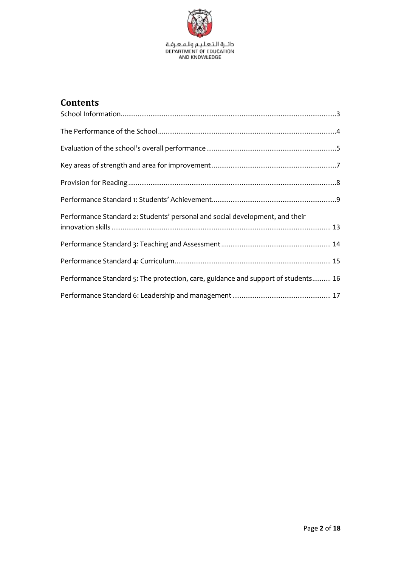

# **Contents**

| Performance Standard 2: Students' personal and social development, and their      |
|-----------------------------------------------------------------------------------|
|                                                                                   |
|                                                                                   |
| Performance Standard 5: The protection, care, guidance and support of students 16 |
|                                                                                   |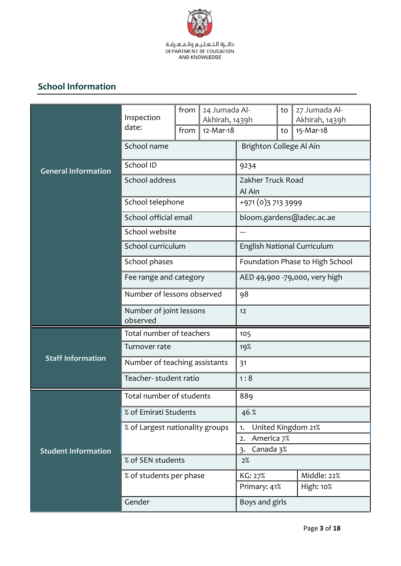

# **School Information**

|                            | Inspection                          | from | 24 Jumada Al-<br>Akhirah, 1439h                 |                                 | to        | 27 Jumada Al-<br>Akhirah, 1439h |
|----------------------------|-------------------------------------|------|-------------------------------------------------|---------------------------------|-----------|---------------------------------|
|                            | date:                               | from | 12-Mar-18                                       |                                 | to        | 15-Mar-18                       |
|                            | School name                         |      |                                                 | Brighton College Al Ain         |           |                                 |
| <b>General Information</b> | School ID                           |      |                                                 | 9234                            |           |                                 |
|                            | School address                      |      |                                                 | Zakher Truck Road<br>Al Ain     |           |                                 |
|                            | School telephone                    |      |                                                 | +971 (0)3 713 3999              |           |                                 |
|                            | School official email               |      |                                                 | bloom.gardens@adec.ac.ae        |           |                                 |
|                            | School website                      |      |                                                 | ---                             |           |                                 |
|                            | School curriculum                   |      |                                                 |                                 |           | English National Curriculum     |
|                            | School phases                       |      |                                                 | Foundation Phase to High School |           |                                 |
|                            | Fee range and category              |      |                                                 | AED 49,900 -79,000, very high   |           |                                 |
|                            | Number of lessons observed          |      | 98                                              |                                 |           |                                 |
|                            | Number of joint lessons<br>observed |      |                                                 | 12                              |           |                                 |
|                            | Total number of teachers            |      |                                                 | 105                             |           |                                 |
|                            | Turnover rate                       |      |                                                 | 19%                             |           |                                 |
| <b>Staff Information</b>   | Number of teaching assistants       |      |                                                 | 31                              |           |                                 |
|                            | Teacher- student ratio              |      |                                                 | 1:8                             |           |                                 |
|                            | Total number of students            |      |                                                 | 889                             |           |                                 |
|                            | % of Emirati Students               |      |                                                 | 46 %                            |           |                                 |
|                            | % of Largest nationality groups     |      |                                                 | United Kingdom 21%<br>1.        |           |                                 |
| <b>Student Information</b> |                                     |      | America 7%<br>2.<br>Canada 3%<br>$\overline{3}$ |                                 |           |                                 |
|                            | % of SEN students                   |      |                                                 | 2%                              |           |                                 |
|                            | % of students per phase             |      |                                                 | KG: 27%                         |           | Middle: 22%                     |
|                            |                                     |      | Primary: 41%                                    |                                 | High: 10% |                                 |
|                            | Gender                              |      | Boys and girls                                  |                                 |           |                                 |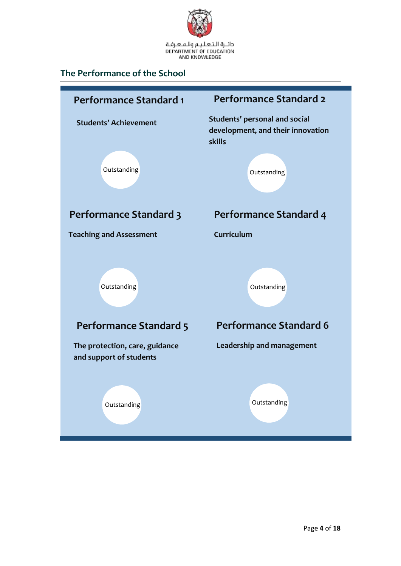

# <span id="page-3-0"></span>**The Performance of the School**

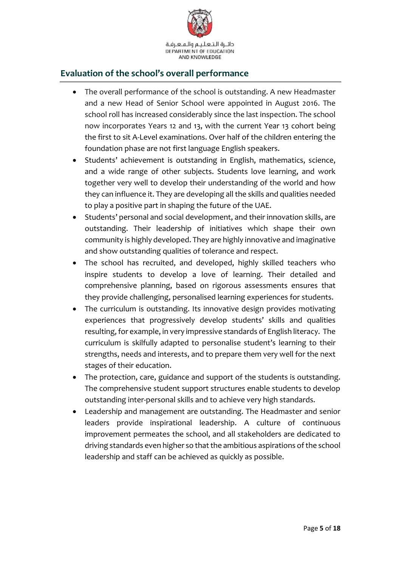

# <span id="page-4-0"></span>**Evaluation of the school's overall performance**

- The overall performance of the school is outstanding. A new Headmaster and a new Head of Senior School were appointed in August 2016. The school roll has increased considerably since the last inspection. The school now incorporates Years 12 and 13, with the current Year 13 cohort being the first to sit A-Level examinations. Over half of the children entering the foundation phase are not first language English speakers.
- Students' achievement is outstanding in English, mathematics, science, and a wide range of other subjects. Students love learning, and work together very well to develop their understanding of the world and how they can influence it. They are developing all the skills and qualities needed to play a positive part in shaping the future of the UAE.
- Students' personal and social development, and their innovation skills, are outstanding. Their leadership of initiatives which shape their own community is highly developed. They are highly innovative and imaginative and show outstanding qualities of tolerance and respect.
- The school has recruited, and developed, highly skilled teachers who inspire students to develop a love of learning. Their detailed and comprehensive planning, based on rigorous assessments ensures that they provide challenging, personalised learning experiences for students.
- The curriculum is outstanding. Its innovative design provides motivating experiences that progressively develop students' skills and qualities resulting, for example, in very impressive standards of English literacy. The curriculum is skilfully adapted to personalise student's learning to their strengths, needs and interests, and to prepare them very well for the next stages of their education.
- The protection, care, guidance and support of the students is outstanding. The comprehensive student support structures enable students to develop outstanding inter-personal skills and to achieve very high standards.
- Leadership and management are outstanding. The Headmaster and senior leaders provide inspirational leadership. A culture of continuous improvement permeates the school, and all stakeholders are dedicated to driving standards even higher so that the ambitious aspirations of the school leadership and staff can be achieved as quickly as possible.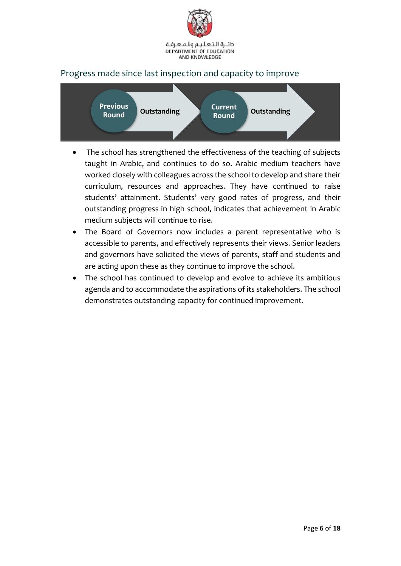

# Progress made since last inspection and capacity to improve



- The school has strengthened the effectiveness of the teaching of subjects taught in Arabic, and continues to do so. Arabic medium teachers have worked closely with colleagues across the school to develop and share their curriculum, resources and approaches. They have continued to raise students' attainment. Students' very good rates of progress, and their outstanding progress in high school, indicates that achievement in Arabic medium subjects will continue to rise.
- The Board of Governors now includes a parent representative who is accessible to parents, and effectively represents their views. Senior leaders and governors have solicited the views of parents, staff and students and are acting upon these as they continue to improve the school.
- The school has continued to develop and evolve to achieve its ambitious agenda and to accommodate the aspirations of its stakeholders. The school demonstrates outstanding capacity for continued improvement.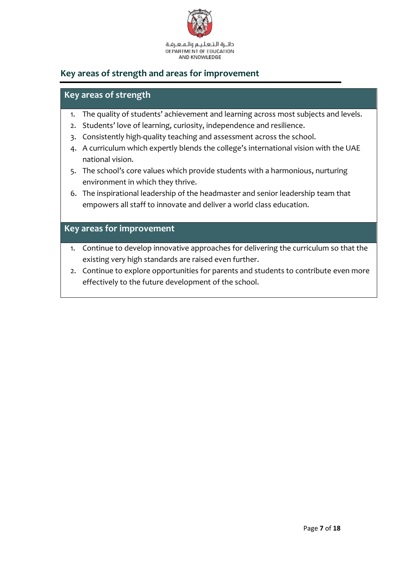

# <span id="page-6-0"></span>**Key areas of strength and areas for improvement**

# **Key areas of strength**

- 1. The quality of students' achievement and learning across most subjects and levels.
- 2. Students' love of learning, curiosity, independence and resilience.
- 3. Consistently high-quality teaching and assessment across the school.
- 4. A curriculum which expertly blends the college's international vision with the UAE national vision.
- 5. The school's core values which provide students with a harmonious, nurturing environment in which they thrive.
- 6. The inspirational leadership of the headmaster and senior leadership team that empowers all staff to innovate and deliver a world class education.

### **Key areas for improvement**

- 1. Continue to develop innovative approaches for delivering the curriculum so that the existing very high standards are raised even further.
- 2. Continue to explore opportunities for parents and students to contribute even more effectively to the future development of the school.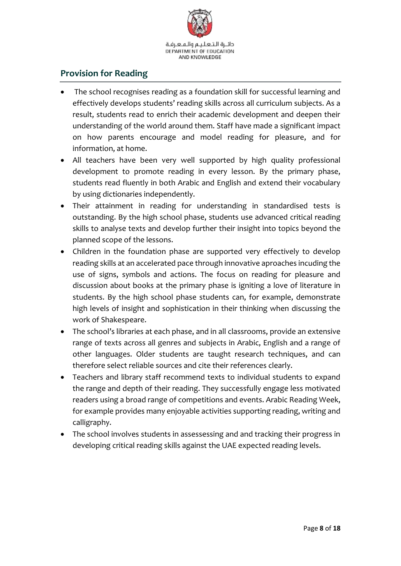

# <span id="page-7-0"></span>**Provision for Reading**

- The school recognises reading as a foundation skill for successful learning and effectively develops students' reading skills across all curriculum subjects. As a result, students read to enrich their academic development and deepen their understanding of the world around them. Staff have made a significant impact on how parents encourage and model reading for pleasure, and for information, at home.
- All teachers have been very well supported by high quality professional development to promote reading in every lesson. By the primary phase, students read fluently in both Arabic and English and extend their vocabulary by using dictionaries independently.
- Their attainment in reading for understanding in standardised tests is outstanding. By the high school phase, students use advanced critical reading skills to analyse texts and develop further their insight into topics beyond the planned scope of the lessons.
- Children in the foundation phase are supported very effectively to develop reading skills at an accelerated pace through innovative aproaches incuding the use of signs, symbols and actions. The focus on reading for pleasure and discussion about books at the primary phase is igniting a love of literature in students. By the high school phase students can, for example, demonstrate high levels of insight and sophistication in their thinking when discussing the work of Shakespeare.
- The school's libraries at each phase, and in all classrooms, provide an extensive range of texts across all genres and subjects in Arabic, English and a range of other languages. Older students are taught research techniques, and can therefore select reliable sources and cite their references clearly.
- Teachers and library staff recommend texts to individual students to expand the range and depth of their reading. They successfully engage less motivated readers using a broad range of competitions and events. Arabic Reading Week, for example provides many enjoyable activities supporting reading, writing and calligraphy.
- The school involves students in assessessing and and tracking their progress in developing critical reading skills against the UAE expected reading levels.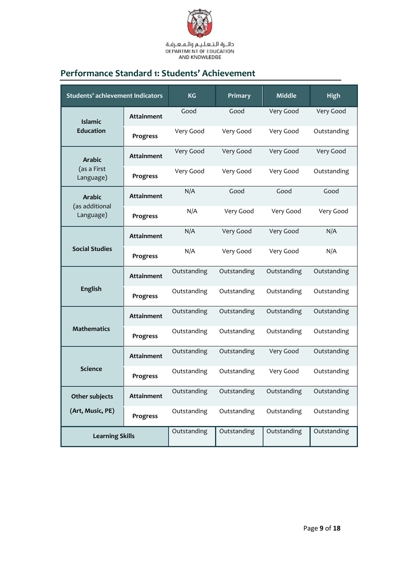

# <span id="page-8-0"></span>**Performance Standard 1: Students' Achievement**

| <b>Students' achievement Indicators</b> |                   | <b>KG</b>   | Primary     | <b>Middle</b> | <b>High</b> |
|-----------------------------------------|-------------------|-------------|-------------|---------------|-------------|
| <b>Islamic</b><br><b>Education</b>      | <b>Attainment</b> | Good        | Good        | Very Good     | Very Good   |
|                                         | Progress          | Very Good   | Very Good   | Very Good     | Outstanding |
| <b>Arabic</b>                           | <b>Attainment</b> | Very Good   | Very Good   | Very Good     | Very Good   |
| (as a First<br>Language)                | Progress          | Very Good   | Very Good   | Very Good     | Outstanding |
| <b>Arabic</b>                           | <b>Attainment</b> | N/A         | Good        | Good          | Good        |
| (as additional<br>Language)             | Progress          | N/A         | Very Good   | Very Good     | Very Good   |
|                                         | <b>Attainment</b> | N/A         | Very Good   | Very Good     | N/A         |
| <b>Social Studies</b>                   | Progress          | N/A         | Very Good   | Very Good     | N/A         |
| English                                 | <b>Attainment</b> | Outstanding | Outstanding | Outstanding   | Outstanding |
|                                         | Progress          | Outstanding | Outstanding | Outstanding   | Outstanding |
| <b>Attainment</b>                       |                   | Outstanding | Outstanding | Outstanding   | Outstanding |
| <b>Mathematics</b>                      | Progress          | Outstanding | Outstanding | Outstanding   | Outstanding |
| <b>Science</b>                          | <b>Attainment</b> | Outstanding | Outstanding | Very Good     | Outstanding |
|                                         | Progress          | Outstanding | Outstanding | Very Good     | Outstanding |
| Other subjects                          | <b>Attainment</b> | Outstanding | Outstanding | Outstanding   | Outstanding |
| (Art, Music, PE)                        | <b>Progress</b>   | Outstanding | Outstanding | Outstanding   | Outstanding |
| <b>Learning Skills</b>                  |                   | Outstanding | Outstanding | Outstanding   | Outstanding |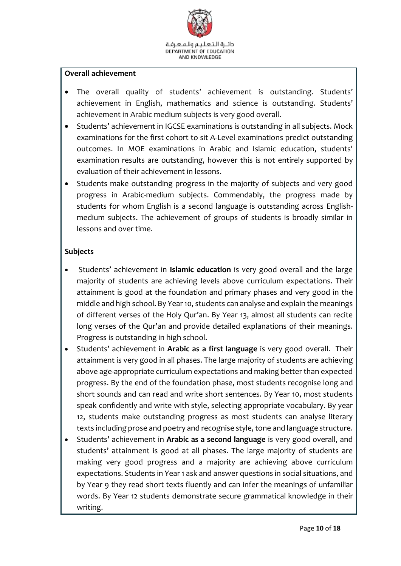

#### **Overall achievement**

- The overall quality of students' achievement is outstanding. Students' achievement in English, mathematics and science is outstanding. Students' achievement in Arabic medium subjects is very good overall.
- Students' achievement in IGCSE examinations is outstanding in all subjects. Mock examinations for the first cohort to sit A-Level examinations predict outstanding outcomes. In MOE examinations in Arabic and Islamic education, students' examination results are outstanding, however this is not entirely supported by evaluation of their achievement in lessons.
- Students make outstanding progress in the majority of subjects and very good progress in Arabic-medium subjects. Commendably, the progress made by students for whom English is a second language is outstanding across Englishmedium subjects. The achievement of groups of students is broadly similar in lessons and over time.

#### **Subjects**

- Students' achievement in **Islamic education** is very good overall and the large majority of students are achieving levels above curriculum expectations. Their attainment is good at the foundation and primary phases and very good in the middle and high school. By Year 10, students can analyse and explain the meanings of different verses of the Holy Qur'an. By Year 13, almost all students can recite long verses of the Qur'an and provide detailed explanations of their meanings. Progress is outstanding in high school.
- Students' achievement in **Arabic as a first language** is very good overall. Their attainment is very good in all phases. The large majority of students are achieving above age-appropriate curriculum expectations and making better than expected progress. By the end of the foundation phase, most students recognise long and short sounds and can read and write short sentences. By Year 10, most students speak confidently and write with style, selecting appropriate vocabulary. By year 12, students make outstanding progress as most students can analyse literary texts including prose and poetry and recognise style, tone and language structure.
- Students' achievement in **Arabic as a second language** is very good overall, and students' attainment is good at all phases. The large majority of students are making very good progress and a majority are achieving above curriculum expectations. Students in Year 1 ask and answer questions in social situations, and by Year 9 they read short texts fluently and can infer the meanings of unfamiliar words. By Year 12 students demonstrate secure grammatical knowledge in their writing.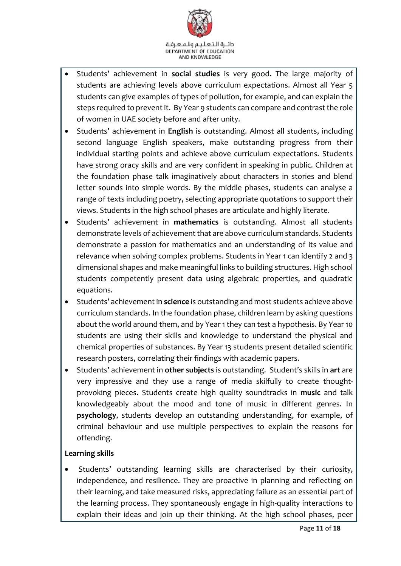

- Students' achievement in **social studies** is very good**.** The large majority of students are achieving levels above curriculum expectations. Almost all Year 5 students can give examples of types of pollution, for example, and can explain the steps required to prevent it. By Year 9 students can compare and contrast the role of women in UAE society before and after unity.
- Students' achievement in **English** is outstanding. Almost all students, including second language English speakers, make outstanding progress from their individual starting points and achieve above curriculum expectations. Students have strong oracy skills and are very confident in speaking in public. Children at the foundation phase talk imaginatively about characters in stories and blend letter sounds into simple words. By the middle phases, students can analyse a range of texts including poetry, selecting appropriate quotations to support their views. Students in the high school phases are articulate and highly literate.
- Students' achievement in **mathematics** is outstanding. Almost all students demonstrate levels of achievement that are above curriculum standards. Students demonstrate a passion for mathematics and an understanding of its value and relevance when solving complex problems. Students in Year 1 can identify 2 and 3 dimensional shapes and make meaningful links to building structures. High school students competently present data using algebraic properties, and quadratic equations.
- Students' achievement in **science** is outstanding and most students achieve above curriculum standards. In the foundation phase, children learn by asking questions about the world around them, and by Year 1 they can test a hypothesis. By Year 10 students are using their skills and knowledge to understand the physical and chemical properties of substances. By Year 13 students present detailed scientific research posters, correlating their findings with academic papers.
- Students' achievement in **other subjects** is outstanding. Student's skills in **art** are very impressive and they use a range of media skilfully to create thoughtprovoking pieces. Students create high quality soundtracks in **music** and talk knowledgeably about the mood and tone of music in different genres. In **psychology**, students develop an outstanding understanding, for example, of criminal behaviour and use multiple perspectives to explain the reasons for offending.

#### **Learning skills**

 Students' outstanding learning skills are characterised by their curiosity, independence, and resilience. They are proactive in planning and reflecting on their learning, and take measured risks, appreciating failure as an essential part of the learning process. They spontaneously engage in high-quality interactions to explain their ideas and join up their thinking. At the high school phases, peer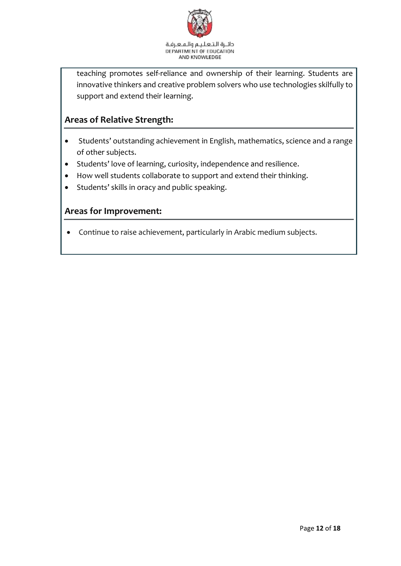

teaching promotes self-reliance and ownership of their learning. Students are innovative thinkers and creative problem solvers who use technologies skilfully to support and extend their learning.

# **Areas of Relative Strength:**

- Students' outstanding achievement in English, mathematics, science and a range of other subjects.
- Students' love of learning, curiosity, independence and resilience.
- How well students collaborate to support and extend their thinking.
- Students' skills in oracy and public speaking.

### **Areas for Improvement:**

Continue to raise achievement, particularly in Arabic medium subjects.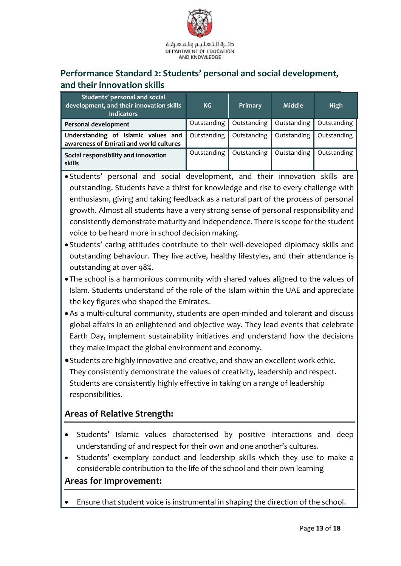

# <span id="page-12-0"></span>**Performance Standard 2: Students' personal and social development, and their innovation skills**

| Students' personal and social<br>development, and their innovation skills<br><b>Indicators</b> | KG <sub>1</sub> | Primary     | Middle      | <b>High</b> |
|------------------------------------------------------------------------------------------------|-----------------|-------------|-------------|-------------|
| Personal development                                                                           | Outstanding     | Outstanding | Outstanding | Outstanding |
| Understanding of Islamic values and<br>awareness of Emirati and world cultures                 | Outstanding     | Outstanding | Outstanding | Outstanding |
| Social responsibility and innovation<br>skills                                                 | Outstanding     | Outstanding | Outstanding | Outstanding |

 Students' personal and social development, and their innovation skills are outstanding. Students have a thirst for knowledge and rise to every challenge with enthusiasm, giving and taking feedback as a natural part of the process of personal growth. Almost all students have a very strong sense of personal responsibility and consistently demonstrate maturity and independence. There is scope for the student voice to be heard more in school decision making.

- Students' caring attitudes contribute to their well-developed diplomacy skills and outstanding behaviour. They live active, healthy lifestyles, and their attendance is outstanding at over 98%.
- The school is a harmonious community with shared values aligned to the values of Islam. Students understand of the role of the Islam within the UAE and appreciate the key figures who shaped the Emirates.
- As a multi-cultural community, students are open-minded and tolerant and discuss global affairs in an enlightened and objective way. They lead events that celebrate Earth Day, implement sustainability initiatives and understand how the decisions they make impact the global environment and economy.
- Students are highly innovative and creative, and show an excellent work ethic. They consistently demonstrate the values of creativity, leadership and respect. Students are consistently highly effective in taking on a range of leadership responsibilities.

# **Areas of Relative Strength:**

- Students' Islamic values characterised by positive interactions and deep understanding of and respect for their own and one another's cultures.
- Students' exemplary conduct and leadership skills which they use to make a considerable contribution to the life of the school and their own learning

#### **Areas for Improvement:**

Ensure that student voice is instrumental in shaping the direction of the school.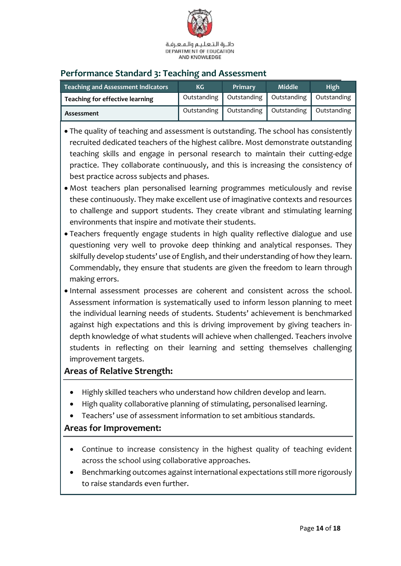

# <span id="page-13-0"></span>**Performance Standard 3: Teaching and Assessment**

| <b>Teaching and Assessment Indicators</b> | KG          | Primary     | <b>Middle</b>             | <b>High</b> |
|-------------------------------------------|-------------|-------------|---------------------------|-------------|
| Teaching for effective learning           | Outstanding | Outstanding | Outstanding   Outstanding |             |
| Assessment                                | Outstanding | Outstanding | Outstanding               | Outstanding |

- The quality of teaching and assessment is outstanding. The school has consistently recruited dedicated teachers of the highest calibre. Most demonstrate outstanding teaching skills and engage in personal research to maintain their cutting-edge practice. They collaborate continuously, and this is increasing the consistency of best practice across subjects and phases.
- Most teachers plan personalised learning programmes meticulously and revise these continuously. They make excellent use of imaginative contexts and resources to challenge and support students. They create vibrant and stimulating learning environments that inspire and motivate their students.
- Teachers frequently engage students in high quality reflective dialogue and use questioning very well to provoke deep thinking and analytical responses. They skilfully develop students' use of English, and their understanding of how they learn. Commendably, they ensure that students are given the freedom to learn through making errors.
- Internal assessment processes are coherent and consistent across the school. Assessment information is systematically used to inform lesson planning to meet the individual learning needs of students. Students' achievement is benchmarked against high expectations and this is driving improvement by giving teachers indepth knowledge of what students will achieve when challenged. Teachers involve students in reflecting on their learning and setting themselves challenging improvement targets.

# **Areas of Relative Strength:**

- Highly skilled teachers who understand how children develop and learn.
- High quality collaborative planning of stimulating, personalised learning.
- Teachers' use of assessment information to set ambitious standards.

# **Areas for Improvement:**

- Continue to increase consistency in the highest quality of teaching evident across the school using collaborative approaches.
- Benchmarking outcomes against international expectations still more rigorously to raise standards even further.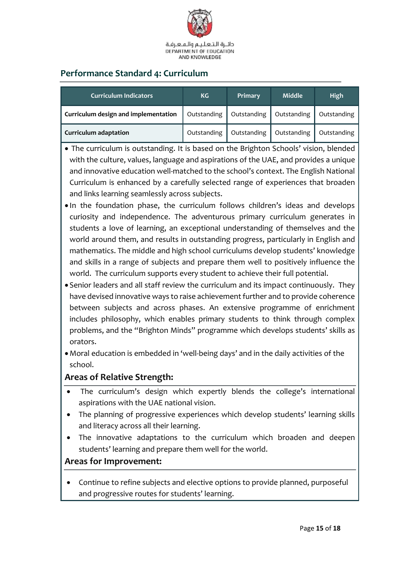

# <span id="page-14-0"></span>**Performance Standard 4: Curriculum**

| <b>Curriculum Indicators</b>         | <b>KG</b>   | Primary     | <b>Middle</b> | High        |
|--------------------------------------|-------------|-------------|---------------|-------------|
| Curriculum design and implementation | Outstanding | Outstanding | Outstanding   | Outstanding |
| <b>Curriculum adaptation</b>         | Outstanding | Outstanding | Outstanding   | Outstanding |

- The curriculum is outstanding. It is based on the Brighton Schools' vision, blended with the culture, values, language and aspirations of the UAE, and provides a unique and innovative education well-matched to the school's context. The English National Curriculum is enhanced by a carefully selected range of experiences that broaden and links learning seamlessly across subjects.
- In the foundation phase, the curriculum follows children's ideas and develops curiosity and independence. The adventurous primary curriculum generates in students a love of learning, an exceptional understanding of themselves and the world around them, and results in outstanding progress, particularly in English and mathematics. The middle and high school curriculums develop students' knowledge and skills in a range of subjects and prepare them well to positively influence the world. The curriculum supports every student to achieve their full potential.
- Senior leaders and all staff review the curriculum and its impact continuously. They have devised innovative ways to raise achievement further and to provide coherence between subjects and across phases. An extensive programme of enrichment includes philosophy, which enables primary students to think through complex problems, and the "Brighton Minds" programme which develops students' skills as orators.
- Moral education is embedded in 'well-being days' and in the daily activities of the school.

# **Areas of Relative Strength:**

- The curriculum's design which expertly blends the college's international aspirations with the UAE national vision.
- The planning of progressive experiences which develop students' learning skills and literacy across all their learning.
- The innovative adaptations to the curriculum which broaden and deepen students' learning and prepare them well for the world.

# **Areas for Improvement:**

 Continue to refine subjects and elective options to provide planned, purposeful and progressive routes for students' learning.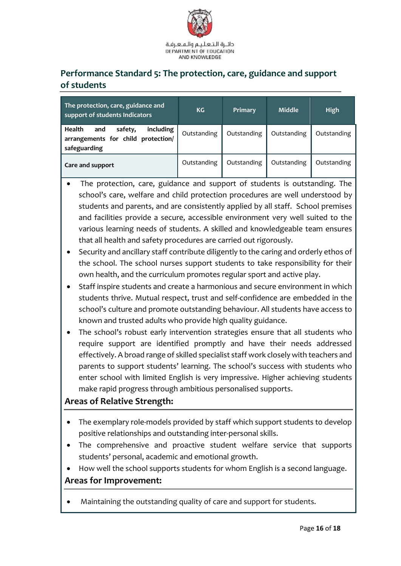

# <span id="page-15-0"></span>**Performance Standard 5: The protection, care, guidance and support of students**

| The protection, care, guidance and<br>support of students Indicators                               | KG          | Primary     | <b>Middle</b> | <b>High</b> |
|----------------------------------------------------------------------------------------------------|-------------|-------------|---------------|-------------|
| <b>Health</b><br>including<br>safety,<br>and<br>arrangements for child protection/<br>safeguarding | Outstanding | Outstanding | Outstanding   | Outstanding |
| Care and support                                                                                   | Outstanding | Outstanding | Outstanding   | Outstanding |

- The protection, care, guidance and support of students is outstanding. The school's care, welfare and child protection procedures are well understood by students and parents, and are consistently applied by all staff. School premises and facilities provide a secure, accessible environment very well suited to the various learning needs of students. A skilled and knowledgeable team ensures that all health and safety procedures are carried out rigorously.
- Security and ancillary staff contribute diligently to the caring and orderly ethos of the school. The school nurses support students to take responsibility for their own health, and the curriculum promotes regular sport and active play.
- Staff inspire students and create a harmonious and secure environment in which students thrive. Mutual respect, trust and self-confidence are embedded in the school's culture and promote outstanding behaviour. All students have access to known and trusted adults who provide high quality guidance.
- The school's robust early intervention strategies ensure that all students who require support are identified promptly and have their needs addressed effectively. A broad range of skilled specialist staff work closely with teachers and parents to support students' learning. The school's success with students who enter school with limited English is very impressive. Higher achieving students make rapid progress through ambitious personalised supports.

# **Areas of Relative Strength:**

- The exemplary role-models provided by staff which support students to develop positive relationships and outstanding inter-personal skills.
- The comprehensive and proactive student welfare service that supports students' personal, academic and emotional growth.
- How well the school supports students for whom English is a second language.

# **Areas for Improvement:**

Maintaining the outstanding quality of care and support for students.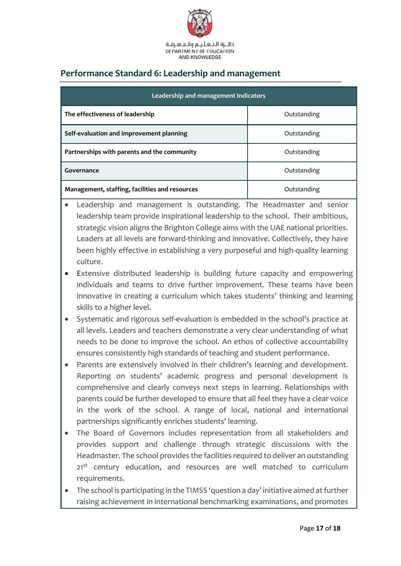

# <span id="page-16-0"></span>**Performance Standard 6: Leadership and management**

| Leadership and management Indicators           |             |  |  |  |
|------------------------------------------------|-------------|--|--|--|
| The effectiveness of leadership                | Outstanding |  |  |  |
| Self-evaluation and improvement planning       | Outstanding |  |  |  |
| Partnerships with parents and the community    | Outstanding |  |  |  |
| Governance                                     | Outstanding |  |  |  |
| Management, staffing, facilities and resources | Outstanding |  |  |  |

- Leadership and management is outstanding. The Headmaster and senior leadership team provide inspirational leadership to the school. Their ambitious, strategic vision aligns the Brighton College aims with the UAE national priorities. Leaders at all levels are forward-thinking and innovative. Collectively, they have been highly effective in establishing a very purposeful and high-quality learning culture.
- Extensive distributed leadership is building future capacity and empowering individuals and teams to drive further improvement. These teams have been innovative in creating a curriculum which takes students' thinking and learning skills to a higher level.
- Systematic and rigorous self-evaluation is embedded in the school's practice at all levels. Leaders and teachers demonstrate a very clear understanding of what needs to be done to improve the school. An ethos of collective accountability ensures consistently high standards of teaching and student performance.
- Parents are extensively involved in their children's learning and development. Reporting on students' academic progress and personal development is comprehensive and clearly conveys next steps in learning. Relationships with parents could be further developed to ensure that all feel they have a clear voice in the work of the school. A range of local, national and international partnerships significantly enriches students' learning.
- The Board of Governors includes representation from all stakeholders and provides support and challenge through strategic discussions with the Headmaster. The school provides the facilities required to deliver an outstanding 21<sup>st</sup> century education, and resources are well matched to curriculum requirements.
- The school is participating in the TIMSS 'question a day' initiative aimed at further raising achievement in international benchmarking examinations, and promotes